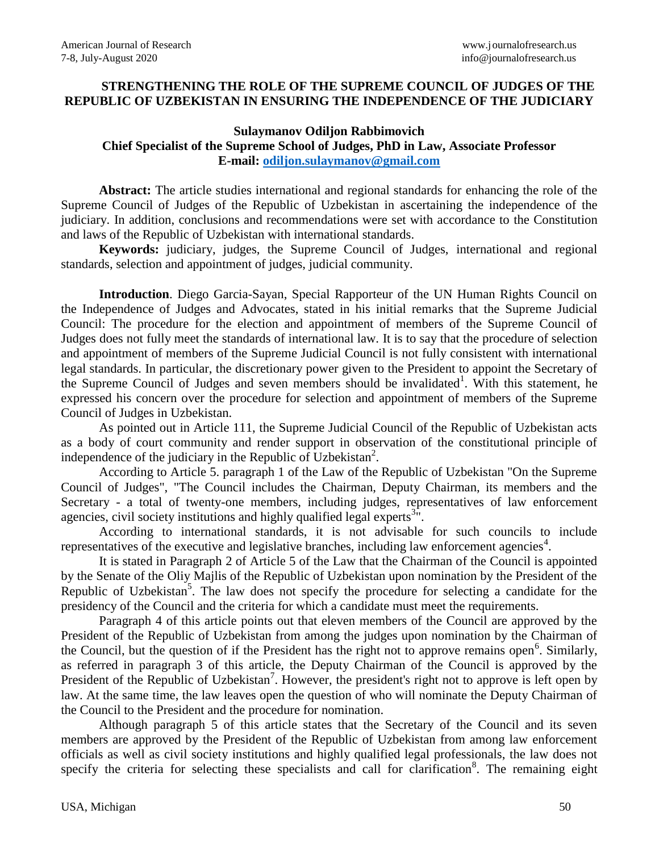## **STRENGTHENING THE ROLE OF THE SUPREME COUNCIL OF JUDGES OF THE REPUBLIC OF UZBEKISTAN IN ENSURING THE INDEPENDENCE OF THE JUDICIARY**

## **Sulaymanov Odiljon Rabbimovich Chief Specialist of the Supreme School of Judges, PhD in Law, Associate Professor E-mail: [odiljon.sulaymanov@gmail.com](mailto:odiljon.sulaymanov@gmail.com)**

**Abstract:** The article studies international and regional standards for enhancing the role of the Supreme Council of Judges of the Republic of Uzbekistan in ascertaining the independence of the judiciary. In addition, conclusions and recommendations were set with accordance to the Constitution and laws of the Republic of Uzbekistan with international standards.

**Keywords:** judiciary, judges, the Supreme Council of Judges, international and regional standards, selection and appointment of judges, judicial community.

**Introduction**. Diego Garcia-Sayan, Special Rapporteur of the UN Human Rights Council on the Independence of Judges and Advocates, stated in his initial remarks that the Supreme Judicial Council: The procedure for the election and appointment of members of the Supreme Council of Judges does not fully meet the standards of international law. It is to say that the procedure of selection and appointment of members of the Supreme Judicial Council is not fully consistent with international legal standards. In particular, the discretionary power given to the President to appoint the Secretary of the Supreme Council of Judges and seven members should be invalidated<sup>1</sup>. With this statement, he expressed his concern over the procedure for selection and appointment of members of the Supreme Council of Judges in Uzbekistan.

As pointed out in Article 111, the Supreme Judicial Council of the Republic of Uzbekistan acts as a body of court community and render support in observation of the constitutional principle of independence of the judiciary in the Republic of Uzbekistan<sup>2</sup>.

According to Article 5. paragraph 1 of the Law of the Republic of Uzbekistan "On the Supreme Council of Judges", "The Council includes the Chairman, Deputy Chairman, its members and the Secretary - a total of twenty-one members, including judges, representatives of law enforcement agencies, civil society institutions and highly qualified legal experts<sup>3 $\pi$ </sup>.

According to international standards, it is not advisable for such councils to include representatives of the executive and legislative branches, including law enforcement agencies<sup>4</sup>.

It is stated in Paragraph 2 of Article 5 of the Law that the Chairman of the Council is appointed by the Senate of the Oliy Majlis of the Republic of Uzbekistan upon nomination by the President of the Republic of Uzbekistan<sup>5</sup>. The law does not specify the procedure for selecting a candidate for the presidency of the Council and the criteria for which a candidate must meet the requirements.

Paragraph 4 of this article points out that eleven members of the Council are approved by the President of the Republic of Uzbekistan from among the judges upon nomination by the Chairman of the Council, but the question of if the President has the right not to approve remains open<sup>6</sup>. Similarly, as referred in paragraph 3 of this article, the Deputy Chairman of the Council is approved by the President of the Republic of Uzbekistan<sup>7</sup>. However, the president's right not to approve is left open by law. At the same time, the law leaves open the question of who will nominate the Deputy Chairman of the Council to the President and the procedure for nomination.

Although paragraph 5 of this article states that the Secretary of the Council and its seven members are approved by the President of the Republic of Uzbekistan from among law enforcement officials as well as civil society institutions and highly qualified legal professionals, the law does not specify the criteria for selecting these specialists and call for clarification<sup>8</sup>. The remaining eight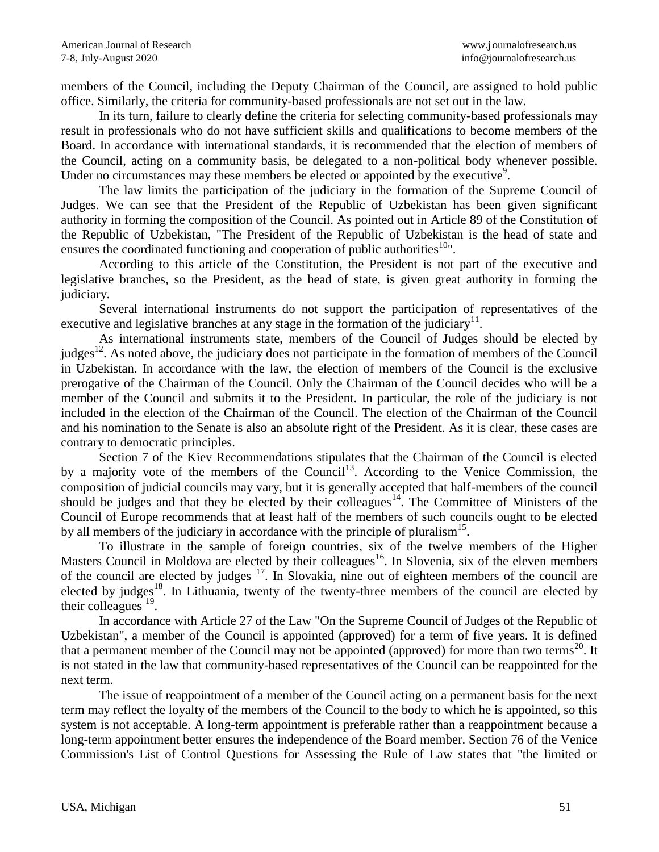members of the Council, including the Deputy Chairman of the Council, are assigned to hold public office. Similarly, the criteria for community-based professionals are not set out in the law.

In its turn, failure to clearly define the criteria for selecting community-based professionals may result in professionals who do not have sufficient skills and qualifications to become members of the Board. In accordance with international standards, it is recommended that the election of members of the Council, acting on a community basis, be delegated to a non-political body whenever possible. Under no circumstances may these members be elected or appointed by the executive<sup>9</sup>.

The law limits the participation of the judiciary in the formation of the Supreme Council of Judges. We can see that the President of the Republic of Uzbekistan has been given significant authority in forming the composition of the Council. As pointed out in Article 89 of the Constitution of the Republic of Uzbekistan, "The President of the Republic of Uzbekistan is the head of state and ensures the coordinated functioning and cooperation of public authorities<sup>10</sup>".

According to this article of the Constitution, the President is not part of the executive and legislative branches, so the President, as the head of state, is given great authority in forming the judiciary.

Several international instruments do not support the participation of representatives of the executive and legislative branches at any stage in the formation of the judiciary<sup>11</sup>.

As international instruments state, members of the Council of Judges should be elected by judges<sup>12</sup>. As noted above, the judiciary does not participate in the formation of members of the Council in Uzbekistan. In accordance with the law, the election of members of the Council is the exclusive prerogative of the Chairman of the Council. Only the Chairman of the Council decides who will be a member of the Council and submits it to the President. In particular, the role of the judiciary is not included in the election of the Chairman of the Council. The election of the Chairman of the Council and his nomination to the Senate is also an absolute right of the President. As it is clear, these cases are contrary to democratic principles.

Section 7 of the Kiev Recommendations stipulates that the Chairman of the Council is elected by a majority vote of the members of the Council<sup>13</sup>. According to the Venice Commission, the composition of judicial councils may vary, but it is generally accepted that half-members of the council should be judges and that they be elected by their colleagues $14$ . The Committee of Ministers of the Council of Europe recommends that at least half of the members of such councils ought to be elected by all members of the judiciary in accordance with the principle of pluralism<sup>15</sup>.

To illustrate in the sample of foreign countries, six of the twelve members of the Higher Masters Council in Moldova are elected by their colleagues<sup>16</sup>. In Slovenia, six of the eleven members of the council are elected by judges  $17$ . In Slovakia, nine out of eighteen members of the council are elected by judges<sup>18</sup>. In Lithuania, twenty of the twenty-three members of the council are elected by their colleagues  $^{19}$ .

In accordance with Article 27 of the Law "On the Supreme Council of Judges of the Republic of Uzbekistan", a member of the Council is appointed (approved) for a term of five years. It is defined that a permanent member of the Council may not be appointed (approved) for more than two terms<sup>20</sup>. It is not stated in the law that community-based representatives of the Council can be reappointed for the next term.

The issue of reappointment of a member of the Council acting on a permanent basis for the next term may reflect the loyalty of the members of the Council to the body to which he is appointed, so this system is not acceptable. A long-term appointment is preferable rather than a reappointment because a long-term appointment better ensures the independence of the Board member. Section 76 of the Venice Commission's List of Control Questions for Assessing the Rule of Law states that "the limited or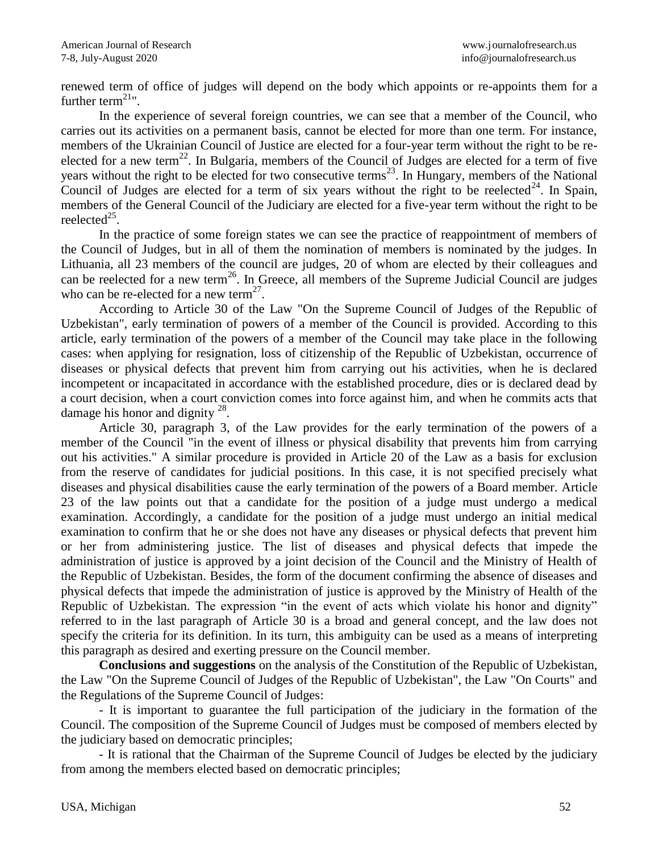renewed term of office of judges will depend on the body which appoints or re-appoints them for a further term $^{21}$ ".

In the experience of several foreign countries, we can see that a member of the Council, who carries out its activities on a permanent basis, cannot be elected for more than one term. For instance, members of the Ukrainian Council of Justice are elected for a four-year term without the right to be reelected for a new term<sup>22</sup>. In Bulgaria, members of the Council of Judges are elected for a term of five years without the right to be elected for two consecutive terms<sup>23</sup>. In Hungary, members of the National Council of Judges are elected for a term of six years without the right to be reelected<sup>24</sup>. In Spain, members of the General Council of the Judiciary are elected for a five-year term without the right to be reelected $^{25}$ .

In the practice of some foreign states we can see the practice of reappointment of members of the Council of Judges, but in all of them the nomination of members is nominated by the judges. In Lithuania, all 23 members of the council are judges, 20 of whom are elected by their colleagues and can be reelected for a new term<sup>26</sup>. In Greece, all members of the Supreme Judicial Council are judges who can be re-elected for a new term<sup>27</sup>.

According to Article 30 of the Law "On the Supreme Council of Judges of the Republic of Uzbekistan", early termination of powers of a member of the Council is provided. According to this article, early termination of the powers of a member of the Council may take place in the following cases: when applying for resignation, loss of citizenship of the Republic of Uzbekistan, occurrence of diseases or physical defects that prevent him from carrying out his activities, when he is declared incompetent or incapacitated in accordance with the established procedure, dies or is declared dead by a court decision, when a court conviction comes into force against him, and when he commits acts that damage his honor and dignity  $^{28}$ .

Article 30, paragraph 3, of the Law provides for the early termination of the powers of a member of the Council "in the event of illness or physical disability that prevents him from carrying out his activities." A similar procedure is provided in Article 20 of the Law as a basis for exclusion from the reserve of candidates for judicial positions. In this case, it is not specified precisely what diseases and physical disabilities cause the early termination of the powers of a Board member. Article 23 of the law points out that a candidate for the position of a judge must undergo a medical examination. Accordingly, a candidate for the position of a judge must undergo an initial medical examination to confirm that he or she does not have any diseases or physical defects that prevent him or her from administering justice. The list of diseases and physical defects that impede the administration of justice is approved by a joint decision of the Council and the Ministry of Health of the Republic of Uzbekistan. Besides, the form of the document confirming the absence of diseases and physical defects that impede the administration of justice is approved by the Ministry of Health of the Republic of Uzbekistan. The expression "in the event of acts which violate his honor and dignity" referred to in the last paragraph of Article 30 is a broad and general concept, and the law does not specify the criteria for its definition. In its turn, this ambiguity can be used as a means of interpreting this paragraph as desired and exerting pressure on the Council member.

**Conclusions and suggestions** on the analysis of the Constitution of the Republic of Uzbekistan, the Law "On the Supreme Council of Judges of the Republic of Uzbekistan", the Law "On Courts" and the Regulations of the Supreme Council of Judges:

- It is important to guarantee the full participation of the judiciary in the formation of the Council. The composition of the Supreme Council of Judges must be composed of members elected by the judiciary based on democratic principles;

- It is rational that the Chairman of the Supreme Council of Judges be elected by the judiciary from among the members elected based on democratic principles;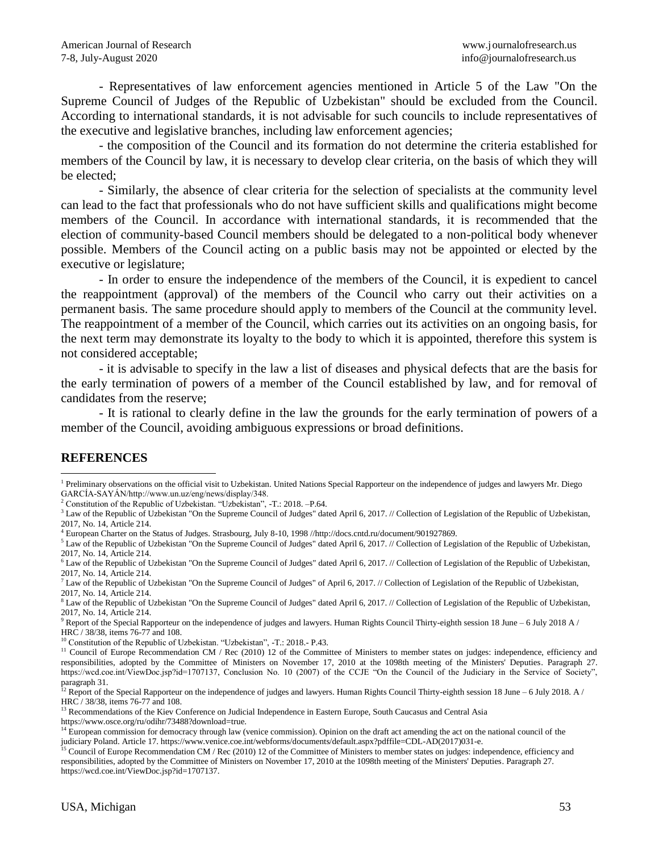- Representatives of law enforcement agencies mentioned in Article 5 of the Law "On the Supreme Council of Judges of the Republic of Uzbekistan" should be excluded from the Council. According to international standards, it is not advisable for such councils to include representatives of the executive and legislative branches, including law enforcement agencies;

- the composition of the Council and its formation do not determine the criteria established for members of the Council by law, it is necessary to develop clear criteria, on the basis of which they will be elected;

- Similarly, the absence of clear criteria for the selection of specialists at the community level can lead to the fact that professionals who do not have sufficient skills and qualifications might become members of the Council. In accordance with international standards, it is recommended that the election of community-based Council members should be delegated to a non-political body whenever possible. Members of the Council acting on a public basis may not be appointed or elected by the executive or legislature;

- In order to ensure the independence of the members of the Council, it is expedient to cancel the reappointment (approval) of the members of the Council who carry out their activities on a permanent basis. The same procedure should apply to members of the Council at the community level. The reappointment of a member of the Council, which carries out its activities on an ongoing basis, for the next term may demonstrate its loyalty to the body to which it is appointed, therefore this system is not considered acceptable;

- it is advisable to specify in the law a list of diseases and physical defects that are the basis for the early termination of powers of a member of the Council established by law, and for removal of candidates from the reserve;

- It is rational to clearly define in the law the grounds for the early termination of powers of a member of the Council, avoiding ambiguous expressions or broad definitions.

## **REFERENCES**

l

<sup>2</sup> Constitution of the Republic of Uzbekistan. "Uzbekistan", -T.: 2018. -P.64.

<sup>3</sup> Law of the Republic of Uzbekistan "On the Supreme Council of Judges" dated April 6, 2017. // Collection of Legislation of the Republic of Uzbekistan, 2017, No. 14, Article 214.

<sup>4</sup> European Charter on the Status of Judges. Strasbourg, July 8-10, 1998 //http://docs.cntd.ru/document/901927869.

<sup>5</sup> Law of the Republic of Uzbekistan "On the Supreme Council of Judges" dated April 6, 2017. // Collection of Legislation of the Republic of Uzbekistan, 2017, No. 14, Article 214.

<sup>7</sup> Law of the Republic of Uzbekistan "On the Supreme Council of Judges" of April 6, 2017. // Collection of Legislation of the Republic of Uzbekistan, 2017, No. 14, Article 214.

<sup>8</sup> Law of the Republic of Uzbekistan "On the Supreme Council of Judges" dated April 6, 2017. // Collection of Legislation of the Republic of Uzbekistan, 2017, No. 14, Article 214.

 $9$  Report of the Special Rapporteur on the independence of judges and lawyers. Human Rights Council Thirty-eighth session 18 June – 6 July 2018 A / HRC / 38/38, items 76-77 and 108.

<sup>10</sup> Constitution of the Republic of Uzbekistan. "Uzbekistan", -T.: 2018.- P.43.

<sup>12</sup> Report of the Special Rapporteur on the independence of judges and lawyers. Human Rights Council Thirty-eighth session 18 June – 6 July 2018. A / HRC / 38/38, items 76-77 and 108.

<sup>13</sup> Recommendations of the Kiev Conference on Judicial Independence in Eastern Europe, South Caucasus and Central Asia

https://www.osce.org/ru/odihr/73488?download=true.

<sup>&</sup>lt;sup>1</sup> Preliminary observations on the official visit to Uzbekistan. United Nations Special Rapporteur on the independence of judges and lawyers Mr. Diego GARCÍA-SAYÁN/http://www.un.uz/eng/news/display/348.

 $6$  Law of the Republic of Uzbekistan "On the Supreme Council of Judges" dated April 6, 2017. // Collection of Legislation of the Republic of Uzbekistan, 2017, No. 14, Article 214.

<sup>&</sup>lt;sup>11</sup> Council of Europe Recommendation CM / Rec (2010) 12 of the Committee of Ministers to member states on judges: independence, efficiency and responsibilities, adopted by the Committee of Ministers on November 17, 2010 at the 1098th meeting of the Ministers' Deputies. Paragraph 27. https://wcd.coe.int/ViewDoc.jsp?id=1707137, Conclusion No. 10 (2007) of the CCJE "On the Council of the Judiciary in the Service of Society", paragraph 31.

<sup>&</sup>lt;sup>14</sup> European commission for democracy through law (venice commission). Opinion on the draft act amending the act on the national council of the judiciary Poland. Article 17. https://www.venice.coe.int/webforms/documents/default.aspx?pdffile=CDL-AD(2017)031-e.

<sup>15</sup> Council of Europe Recommendation CM / Rec (2010) 12 of the Committee of Ministers to member states on judges: independence, efficiency and responsibilities, adopted by the Committee of Ministers on November 17, 2010 at the 1098th meeting of the Ministers' Deputies. Paragraph 27. https://wcd.coe.int/ViewDoc.jsp?id=1707137.